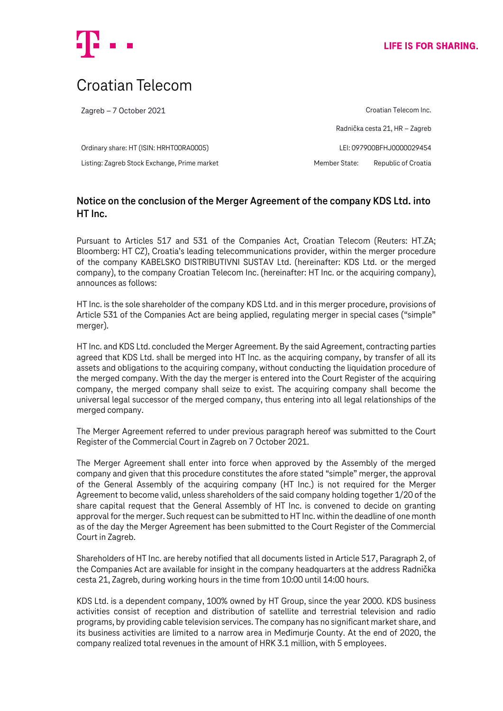

# Croatian Telecom

Zagreb – 7 October 2021

Ordinary share: HT (ISIN: HRHT00RA0005) LEI: 097900BFHJ0000029454 Listing: Zagreb Stock Exchange, Prime market Member State: Republic of Croatia

Croatian Telecom Inc. Radnička cesta 21, HR – Zagreb

## **Notice on the conclusion of the Merger Agreement of the company KDS Ltd. into HT Inc.**

Pursuant to Articles 517 and 531 of the Companies Act, Croatian Telecom (Reuters: HT.ZA; Bloomberg: HT CZ), Croatia's leading telecommunications provider, within the merger procedure of the company KABELSKO DISTRIBUTIVNI SUSTAV Ltd. (hereinafter: KDS Ltd. or the merged company), to the company Croatian Telecom Inc. (hereinafter: HT Inc. or the acquiring company), announces as follows:

HT Inc. is the sole shareholder of the company KDS Ltd. and in this merger procedure, provisions of Article 531 of the Companies Act are being applied, regulating merger in special cases ("simple" merger).

HT Inc. and KDS Ltd. concluded the Merger Agreement. By the said Agreement, contracting parties agreed that KDS Ltd. shall be merged into HT Inc. as the acquiring company, by transfer of all its assets and obligations to the acquiring company, without conducting the liquidation procedure of the merged company. With the day the merger is entered into the Court Register of the acquiring company, the merged company shall seize to exist. The acquiring company shall become the universal legal successor of the merged company, thus entering into all legal relationships of the merged company.

The Merger Agreement referred to under previous paragraph hereof was submitted to the Court Register of the Commercial Court in Zagreb on 7 October 2021.

The Merger Agreement shall enter into force when approved by the Assembly of the merged company and given that this procedure constitutes the afore stated "simple" merger, the approval of the General Assembly of the acquiring company (HT Inc.) is not required for the Merger Agreement to become valid, unless shareholders of the said company holding together 1/20 of the share capital request that the General Assembly of HT Inc. is convened to decide on granting approval for the merger. Such request can be submitted to HT Inc. within the deadline of one month as of the day the Merger Agreement has been submitted to the Court Register of the Commercial Court in Zagreb.

Shareholders of HT Inc. are hereby notified that all documents listed in Article 517, Paragraph 2, of the Companies Act are available for insight in the company headquarters at the address Radnička cesta 21, Zagreb, during working hours in the time from 10:00 until 14:00 hours.

KDS Ltd. is a dependent company, 100% owned by HT Group, since the year 2000. KDS business activities consist of reception and distribution of satellite and terrestrial television and radio programs, by providing cable television services. The company has no significant market share, and its business activities are limited to a narrow area in Međimurje County. At the end of 2020, the company realized total revenues in the amount of HRK 3.1 million, with 5 employees.